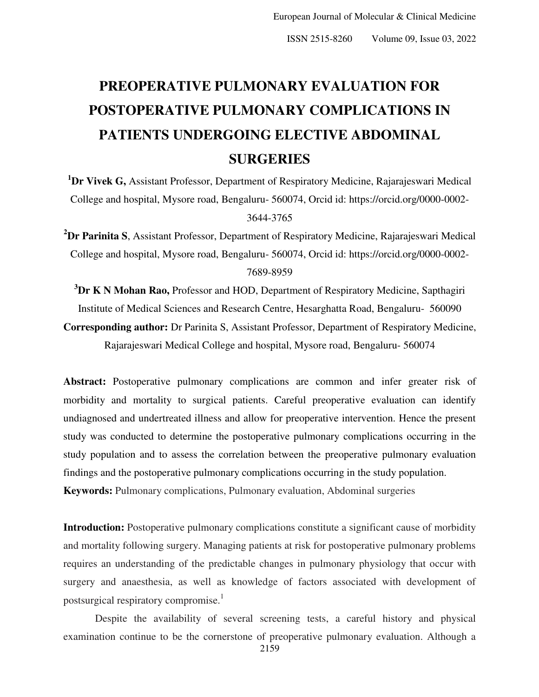# **PREOPERATIVE PULMONARY EVALUATION FOR POSTOPERATIVE PULMONARY COMPLICATIONS IN PATIENTS UNDERGOING ELECTIVE ABDOMINAL SURGERIES**

**<sup>1</sup>Dr Vivek G,** Assistant Professor, Department of Respiratory Medicine, Rajarajeswari Medical College and hospital, Mysore road, Bengaluru- 560074, Orcid id: https://orcid.org/0000-0002- 3644-3765

**<sup>2</sup>Dr Parinita S**, Assistant Professor, Department of Respiratory Medicine, Rajarajeswari Medical College and hospital, Mysore road, Bengaluru- 560074, Orcid id: [https://orcid.org/0000-0002-](https://orcid.org/0000-0002-7689-8959) [7689-8959](https://orcid.org/0000-0002-7689-8959) 

**<sup>3</sup>Dr K N Mohan Rao,** Professor and HOD, Department of Respiratory Medicine, Sapthagiri Institute of Medical Sciences and Research Centre, Hesarghatta Road, Bengaluru- 560090

**Corresponding author:** Dr Parinita S, Assistant Professor, Department of Respiratory Medicine, Rajarajeswari Medical College and hospital, Mysore road, Bengaluru- 560074

Abstract: Postoperative pulmonary complications are common and infer greater risk of morbidity and mortality to surgical patients. Careful preoperative evaluation can identify undiagnosed and undertreated illness and allow for preoperative intervention. Hence the present study was conducted to determine the postoperative pulmonary complications occurring in the study population and to assess the correlation between the preoperative pulmonary evaluation findings and the postoperative pulmonary complications occurring in the study population.

**Keywords:** Pulmonary complications, Pulmonary evaluation, Abdominal surgeries

**Introduction:** Postoperative pulmonary complications constitute a significant cause of morbidity and mortality following surgery. Managing patients at risk for postoperative pulmonary problems requires an understanding of the predictable changes in pulmonary physiology that occur with surgery and anaesthesia, as well as knowledge of factors associated with development of postsurgical respiratory compromise.<sup>1</sup>

Despite the availability of several screening tests, a careful history and physical examination continue to be the cornerstone of preoperative pulmonary evaluation. Although a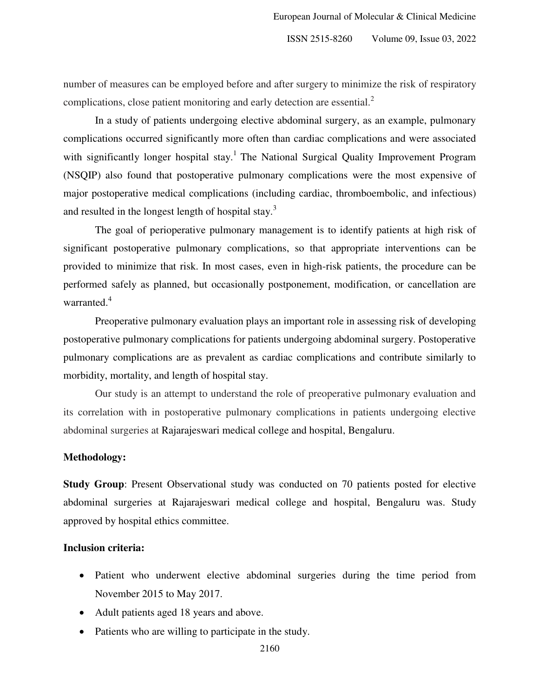number of measures can be employed before and after surgery to minimize the risk of respiratory complications, close patient monitoring and early detection are essential.<sup>2</sup>

In a study of patients undergoing elective abdominal surgery, as an example, pulmonary complications occurred significantly more often than cardiac complications and were associated with significantly longer hospital stay.<sup>1</sup> The National Surgical Quality Improvement Program (NSQIP) also found that postoperative pulmonary complications were the most expensive of major postoperative medical complications (including cardiac, thromboembolic, and infectious) and resulted in the longest length of hospital stay.<sup>3</sup>

 The goal of perioperative pulmonary management is to identify patients at high risk of significant postoperative pulmonary complications, so that appropriate interventions can be provided to minimize that risk. In most cases, even in high-risk patients, the procedure can be performed safely as planned, but occasionally postponement, modification, or cancellation are warranted.<sup>4</sup>

 Preoperative pulmonary evaluation plays an important role in assessing risk of developing postoperative pulmonary complications for patients undergoing abdominal surgery. Postoperative pulmonary complications are as prevalent as cardiac complications and contribute similarly to morbidity, mortality, and length of hospital stay.

 Our study is an attempt to understand the role of preoperative pulmonary evaluation and its correlation with in postoperative pulmonary complications in patients undergoing elective abdominal surgeries at Rajarajeswari medical college and hospital, Bengaluru.

#### **Methodology:**

**Study Group**: Present Observational study was conducted on 70 patients posted for elective abdominal surgeries at Rajarajeswari medical college and hospital, Bengaluru was. Study approved by hospital ethics committee.

#### **Inclusion criteria:**

- Patient who underwent elective abdominal surgeries during the time period from November 2015 to May 2017.
- Adult patients aged 18 years and above.
- Patients who are willing to participate in the study.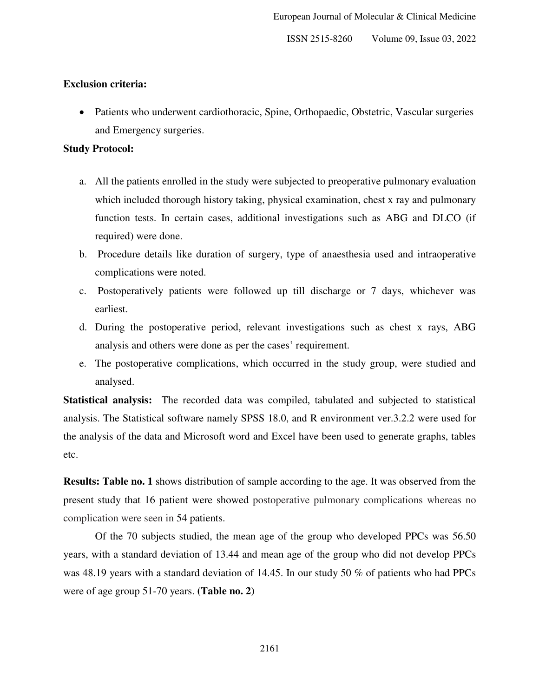#### **Exclusion criteria:**

• Patients who underwent cardiothoracic, Spine, Orthopaedic, Obstetric, Vascular surgeries and Emergency surgeries.

#### **Study Protocol:**

- a. All the patients enrolled in the study were subjected to preoperative pulmonary evaluation which included thorough history taking, physical examination, chest x ray and pulmonary function tests. In certain cases, additional investigations such as ABG and DLCO (if required) were done.
- b. Procedure details like duration of surgery, type of anaesthesia used and intraoperative complications were noted.
- c. Postoperatively patients were followed up till discharge or 7 days, whichever was earliest.
- d. During the postoperative period, relevant investigations such as chest x rays, ABG analysis and others were done as per the cases' requirement.
- e. The postoperative complications, which occurred in the study group, were studied and analysed.

**Statistical analysis:** The recorded data was compiled, tabulated and subjected to statistical analysis. The Statistical software namely SPSS 18.0, and R environment ver.3.2.2 were used for the analysis of the data and Microsoft word and Excel have been used to generate graphs, tables etc.

**Results: Table no. 1** shows distribution of sample according to the age. It was observed from the present study that 16 patient were showed postoperative pulmonary complications whereas no complication were seen in 54 patients.

 Of the 70 subjects studied, the mean age of the group who developed PPCs was 56.50 years, with a standard deviation of 13.44 and mean age of the group who did not develop PPCs was 48.19 years with a standard deviation of 14.45. In our study 50 % of patients who had PPCs were of age group 51-70 years. **(Table no. 2)**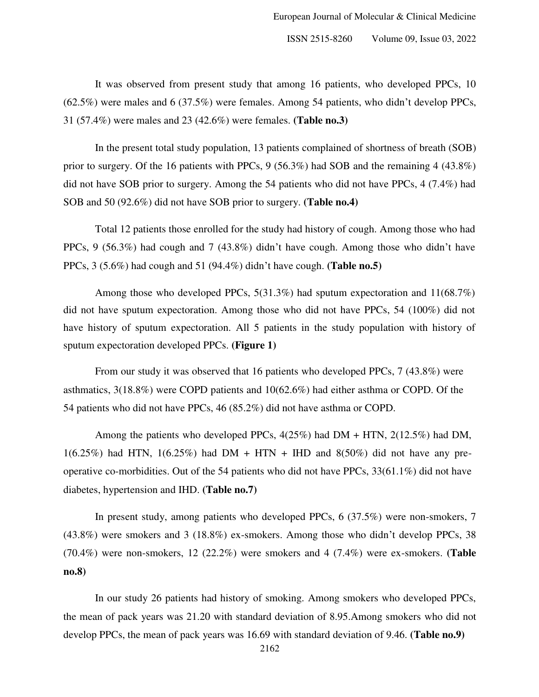It was observed from present study that among 16 patients, who developed PPCs, 10 (62.5%) were males and 6 (37.5%) were females. Among 54 patients, who didn't develop PPCs, 31 (57.4%) were males and 23 (42.6%) were females. **(Table no.3)**

In the present total study population, 13 patients complained of shortness of breath (SOB) prior to surgery. Of the 16 patients with PPCs, 9 (56.3%) had SOB and the remaining 4 (43.8%) did not have SOB prior to surgery. Among the 54 patients who did not have PPCs, 4 (7.4%) had SOB and 50 (92.6%) did not have SOB prior to surgery. **(Table no.4)**

 Total 12 patients those enrolled for the study had history of cough. Among those who had PPCs, 9 (56.3%) had cough and 7 (43.8%) didn't have cough. Among those who didn't have PPCs, 3 (5.6%) had cough and 51 (94.4%) didn't have cough. **(Table no.5)** 

Among those who developed PPCs,  $5(31.3\%)$  had sputum expectoration and  $11(68.7\%)$ did not have sputum expectoration. Among those who did not have PPCs, 54 (100%) did not have history of sputum expectoration. All 5 patients in the study population with history of sputum expectoration developed PPCs. **(Figure 1)** 

 From our study it was observed that 16 patients who developed PPCs, 7 (43.8%) were asthmatics, 3(18.8%) were COPD patients and 10(62.6%) had either asthma or COPD. Of the 54 patients who did not have PPCs, 46 (85.2%) did not have asthma or COPD.

Among the patients who developed PPCs, 4(25%) had DM + HTN, 2(12.5%) had DM,  $1(6.25\%)$  had HTN,  $1(6.25\%)$  had DM + HTN + IHD and  $8(50\%)$  did not have any preoperative co-morbidities. Out of the 54 patients who did not have PPCs, 33(61.1%) did not have diabetes, hypertension and IHD. **(Table no.7)** 

In present study, among patients who developed PPCs, 6 (37.5%) were non-smokers, 7 (43.8%) were smokers and 3 (18.8%) ex-smokers. Among those who didn't develop PPCs, 38 (70.4%) were non-smokers, 12 (22.2%) were smokers and 4 (7.4%) were ex-smokers. **(Table no.8)** 

 In our study 26 patients had history of smoking. Among smokers who developed PPCs, the mean of pack years was 21.20 with standard deviation of 8.95.Among smokers who did not develop PPCs, the mean of pack years was 16.69 with standard deviation of 9.46. **(Table no.9)**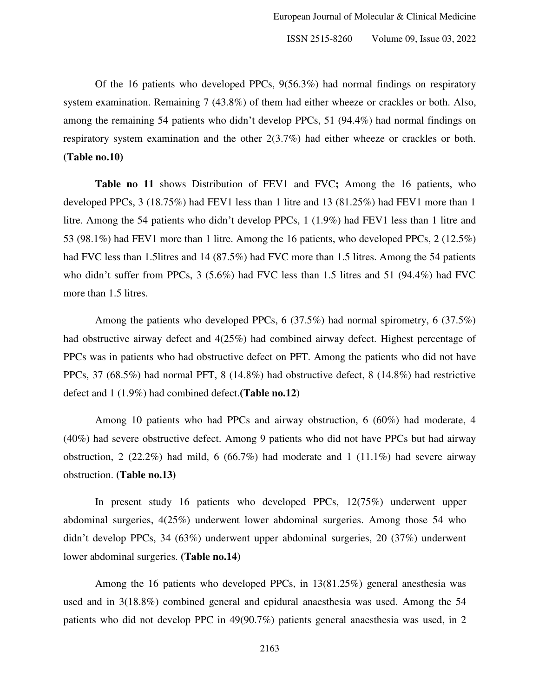Of the 16 patients who developed PPCs, 9(56.3%) had normal findings on respiratory system examination. Remaining 7 (43.8%) of them had either wheeze or crackles or both. Also, among the remaining 54 patients who didn't develop PPCs, 51 (94.4%) had normal findings on respiratory system examination and the other 2(3.7%) had either wheeze or crackles or both. **(Table no.10)** 

 **Table no 11** shows Distribution of FEV1 and FVC**;** Among the 16 patients, who developed PPCs, 3 (18.75%) had FEV1 less than 1 litre and 13 (81.25%) had FEV1 more than 1 litre. Among the 54 patients who didn't develop PPCs, 1 (1.9%) had FEV1 less than 1 litre and 53 (98.1%) had FEV1 more than 1 litre. Among the 16 patients, who developed PPCs, 2 (12.5%) had FVC less than 1.5 litres and 14 (87.5%) had FVC more than 1.5 litres. Among the 54 patients who didn't suffer from PPCs, 3 (5.6%) had FVC less than 1.5 litres and 51 (94.4%) had FVC more than 1.5 litres.

Among the patients who developed PPCs,  $6$  (37.5%) had normal spirometry,  $6$  (37.5%) had obstructive airway defect and 4(25%) had combined airway defect. Highest percentage of PPCs was in patients who had obstructive defect on PFT. Among the patients who did not have PPCs, 37 (68.5%) had normal PFT, 8 (14.8%) had obstructive defect, 8 (14.8%) had restrictive defect and 1 (1.9%) had combined defect.**(Table no.12)** 

Among 10 patients who had PPCs and airway obstruction, 6 (60%) had moderate, 4 (40%) had severe obstructive defect. Among 9 patients who did not have PPCs but had airway obstruction, 2 (22.2%) had mild, 6 (66.7%) had moderate and 1 (11.1%) had severe airway obstruction. **(Table no.13)** 

In present study 16 patients who developed PPCs, 12(75%) underwent upper abdominal surgeries, 4(25%) underwent lower abdominal surgeries. Among those 54 who didn't develop PPCs, 34 (63%) underwent upper abdominal surgeries, 20 (37%) underwent lower abdominal surgeries. **(Table no.14)** 

 Among the 16 patients who developed PPCs, in 13(81.25%) general anesthesia was used and in 3(18.8%) combined general and epidural anaesthesia was used. Among the 54 patients who did not develop PPC in 49(90.7%) patients general anaesthesia was used, in 2

2163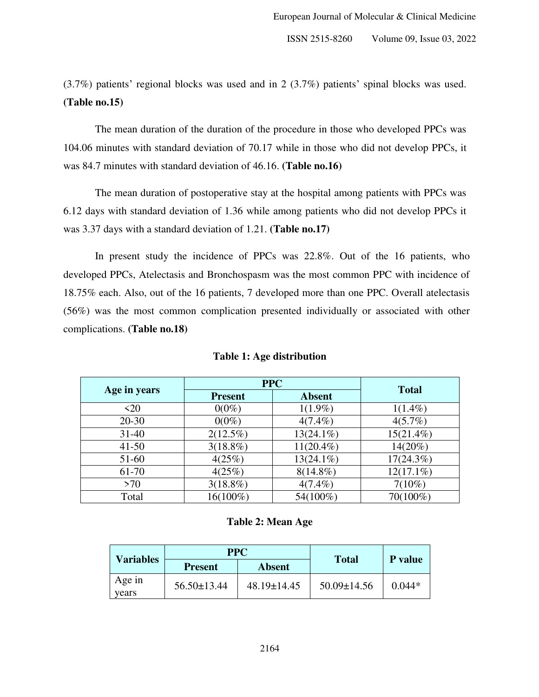(3.7%) patients' regional blocks was used and in 2 (3.7%) patients' spinal blocks was used. **(Table no.15)** 

 The mean duration of the duration of the procedure in those who developed PPCs was 104.06 minutes with standard deviation of 70.17 while in those who did not develop PPCs, it was 84.7 minutes with standard deviation of 46.16. **(Table no.16)** 

 The mean duration of postoperative stay at the hospital among patients with PPCs was 6.12 days with standard deviation of 1.36 while among patients who did not develop PPCs it was 3.37 days with a standard deviation of 1.21. **(Table no.17)** 

In present study the incidence of PPCs was 22.8%. Out of the 16 patients, who developed PPCs, Atelectasis and Bronchospasm was the most common PPC with incidence of 18.75% each. Also, out of the 16 patients, 7 developed more than one PPC. Overall atelectasis (56%) was the most common complication presented individually or associated with other complications. **(Table no.18)**

|              | <b>PPC</b>     |               |              |
|--------------|----------------|---------------|--------------|
| Age in years | <b>Present</b> | <b>Absent</b> | <b>Total</b> |
| $\langle 20$ | $0(0\%)$       | $1(1.9\%)$    | $1(1.4\%)$   |
| $20 - 30$    | $0(0\%)$       | $4(7.4\%)$    | $4(5.7\%)$   |
| $31 - 40$    | $2(12.5\%)$    | $13(24.1\%)$  | $15(21.4\%)$ |
| $41 - 50$    | $3(18.8\%)$    | $11(20.4\%)$  | $14(20\%)$   |
| 51-60        | 4(25%)         | $13(24.1\%)$  | $17(24.3\%)$ |
| 61-70        | 4(25%)         | $8(14.8\%)$   | $12(17.1\%)$ |
| >70          | $3(18.8\%)$    | $4(7.4\%)$    | $7(10\%)$    |
| Total        | 16(100%)       | 54(100%)      | 70(100%)     |

#### **Table 1: Age distribution**

#### **Table 2: Mean Age**

| <b>PPC</b><br><b>Variables</b> |                   | <b>Total</b>      | <b>P</b> value    |          |
|--------------------------------|-------------------|-------------------|-------------------|----------|
|                                | <b>Present</b>    | Absent            |                   |          |
| Age in<br>vears                | $56.50 \pm 13.44$ | $48.19 \pm 14.45$ | $50.09 \pm 14.56$ | $0.044*$ |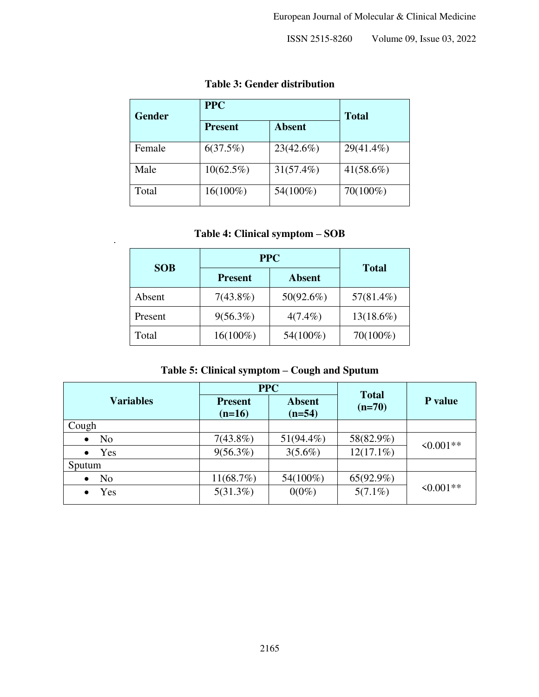## **Table 3: Gender distribution**

| <b>Gender</b> | <b>PPC</b>     | <b>Total</b>  |              |
|---------------|----------------|---------------|--------------|
|               | <b>Present</b> | <b>Absent</b> |              |
| Female        | 6(37.5%)       | 23(42.6%)     | 29(41.4%)    |
| Male          | $10(62.5\%)$   | 31(57.4%)     | $41(58.6\%)$ |
| Total         | $16(100\%)$    | 54(100%)      | $70(100\%)$  |

## **Table 4: Clinical symptom – SOB**

|            | <b>PPC</b>     |               |              |
|------------|----------------|---------------|--------------|
| <b>SOB</b> | <b>Present</b> | <b>Absent</b> | <b>Total</b> |
| Absent     | $7(43.8\%)$    | 50(92.6%)     | $57(81.4\%)$ |
| Present    | $9(56.3\%)$    | $4(7.4\%)$    | $13(18.6\%)$ |
| Total      | 16(100%)       | 54(100%)      | 70(100%)     |

## **Table 5: Clinical symptom – Cough and Sputum**

|                             | <b>PPC</b>                 |                           | <b>Total</b> |            |
|-----------------------------|----------------------------|---------------------------|--------------|------------|
| <b>Variables</b>            | <b>Present</b><br>$(n=16)$ | <b>Absent</b><br>$(n=54)$ | $(n=70)$     | P value    |
| Cough                       |                            |                           |              |            |
| N <sub>o</sub><br>$\bullet$ | $7(43.8\%)$                | $51(94.4\%)$              | 58(82.9%)    | $50.001**$ |
| Yes<br>$\bullet$            | $9(56.3\%)$                | $3(5.6\%)$                | $12(17.1\%)$ |            |
| Sputum                      |                            |                           |              |            |
| N <sub>o</sub><br>$\bullet$ | 11(68.7%)                  | 54(100%)                  | $65(92.9\%)$ |            |
| Yes                         | $5(31.3\%)$                | $0(0\%)$                  | $5(7.1\%)$   | $50.001**$ |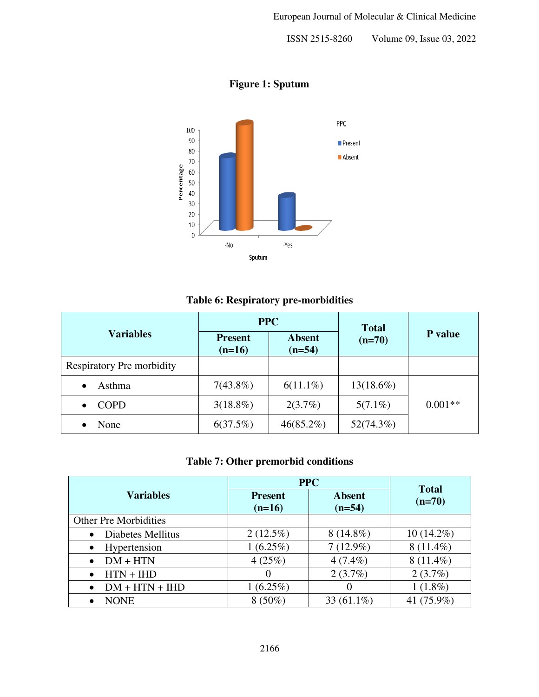

**Figure 1: Sputum** 

#### **Table 6: Respiratory pre-morbidities**

|                           | <b>PPC</b>                 |                           | <b>Total</b> |                |
|---------------------------|----------------------------|---------------------------|--------------|----------------|
| <b>Variables</b>          | <b>Present</b><br>$(n=16)$ | <b>Absent</b><br>$(n=54)$ | $(n=70)$     | <b>P</b> value |
| Respiratory Pre morbidity |                            |                           |              |                |
| Asthma<br>$\bullet$       | $7(43.8\%)$                | $6(11.1\%)$               | $13(18.6\%)$ |                |
| COPD<br>$\bullet$         | $3(18.8\%)$                | 2(3.7%)                   | $5(7.1\%)$   | $0.001**$      |
| None                      | 6(37.5%)                   | $46(85.2\%)$              | 52(74.3%)    |                |

#### **Table 7: Other premorbid conditions**

|                                | <b>PPC</b>                 | <b>Total</b>              |              |
|--------------------------------|----------------------------|---------------------------|--------------|
| <b>Variables</b>               | <b>Present</b><br>$(n=16)$ | <b>Absent</b><br>$(n=54)$ | $(n=70)$     |
| <b>Other Pre Morbidities</b>   |                            |                           |              |
| Diabetes Mellitus<br>$\bullet$ | $2(12.5\%)$                | $8(14.8\%)$               | $10(14.2\%)$ |
| Hypertension<br>٠              | $1(6.25\%)$                | $7(12.9\%)$               | $8(11.4\%)$  |
| $DM + HTN$<br>$\bullet$        | 4(25%)                     | $4(7.4\%)$                | $8(11.4\%)$  |
| $HTN + HID$<br>$\bullet$       | $\theta$                   | 2(3.7%)                   | 2(3.7%)      |
| $DM + HTN + HID$               | $1(6.25\%)$                | 0                         | $1(1.8\%)$   |
| NONE                           | $8(50\%)$                  | 33 $(61.1\%)$             | 41 (75.9%)   |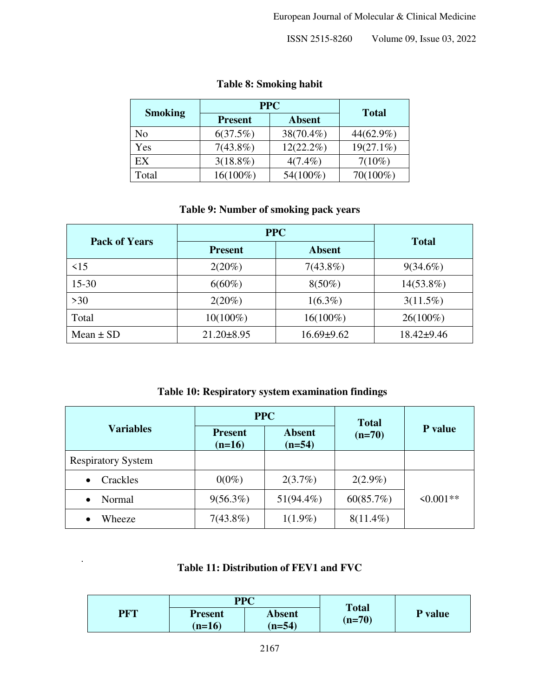|                | <b>PPC</b>     |               |              |
|----------------|----------------|---------------|--------------|
| <b>Smoking</b> | <b>Present</b> | <b>Absent</b> | <b>Total</b> |
| No             | 6(37.5%)       | 38(70.4%)     | 44(62.9%)    |
| Yes            | $7(43.8\%)$    | $12(22.2\%)$  | $19(27.1\%)$ |
| EX             | $3(18.8\%)$    | $4(7.4\%)$    | $7(10\%)$    |
| Total          | $16(100\%)$    | 54(100%)      | 70(100%)     |

## **Table 8: Smoking habit**

#### **Table 9: Number of smoking pack years**

| <b>Pack of Years</b> | <b>PPC</b>       | <b>Total</b>     |                |
|----------------------|------------------|------------------|----------------|
|                      | <b>Present</b>   | <b>Absent</b>    |                |
| $\leq$ 15            | $2(20\%)$        | $7(43.8\%)$      | $9(34.6\%)$    |
| $15 - 30$            | $6(60\%)$        | $8(50\%)$        | $14(53.8\%)$   |
| $>30$                | $2(20\%)$        | $1(6.3\%)$       | $3(11.5\%)$    |
| Total                | $10(100\%)$      | $16(100\%)$      | $26(100\%)$    |
| Mean $\pm$ SD        | $21.20 \pm 8.95$ | $16.69 \pm 9.62$ | $18.42 + 9.46$ |

#### **Table 10: Respiratory system examination findings**

|                           | <b>PPC</b>                 |                           | <b>Total</b> |            |
|---------------------------|----------------------------|---------------------------|--------------|------------|
| <b>Variables</b>          | <b>Present</b><br>$(n=16)$ | <b>Absent</b><br>$(n=54)$ | $(n=70)$     | P value    |
| <b>Respiratory System</b> |                            |                           |              |            |
| Crackles<br>٠             | $0(0\%)$                   | 2(3.7%)                   | $2(2.9\%)$   |            |
| Normal                    | $9(56.3\%)$                | $51(94.4\%)$              | 60(85.7%)    | $50.001**$ |
| Wheeze                    | $7(43.8\%)$                | $1(1.9\%)$                | $8(11.4\%)$  |            |

## **Table 11: Distribution of FEV1 and FVC**

i.

|            | <b>PPC</b>     |               | <b>Total</b> |         |
|------------|----------------|---------------|--------------|---------|
| <b>PRT</b> | <b>Present</b> | <b>Absent</b> | $(n=70)$     | P value |
|            | $(n=16)$       | $(n=54)$      |              |         |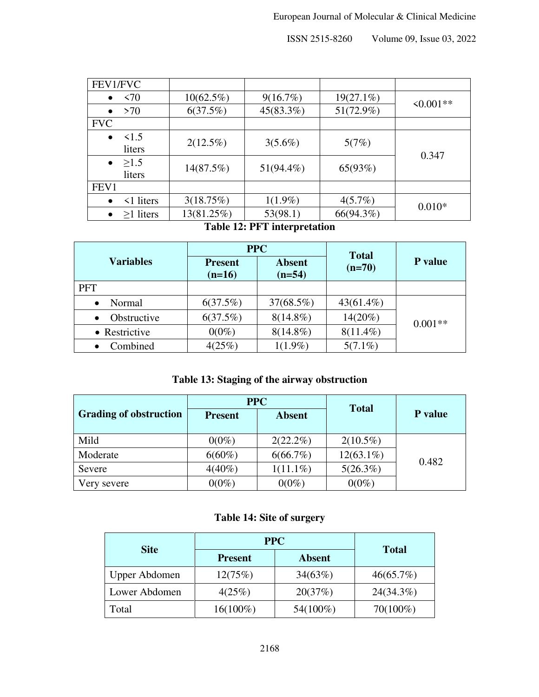| FEV1/FVC                          |              |              |              |            |
|-----------------------------------|--------------|--------------|--------------|------------|
| $\leq 70$<br>$\bullet$            | $10(62.5\%)$ | 9(16.7%)     | $19(27.1\%)$ |            |
| >70<br>$\bullet$                  | 6(37.5%)     | 45(83.3%)    | $51(72.9\%)$ | $50.001**$ |
| <b>FVC</b>                        |              |              |              |            |
| $\leq$ 1.5<br>$\bullet$<br>liters | $2(12.5\%)$  | $3(5.6\%)$   | 5(7%)        | 0.347      |
| $\geq$ 1.5<br>$\bullet$<br>liters | 14(87.5%)    | $51(94.4\%)$ | 65(93%)      |            |
| FEV1                              |              |              |              |            |
| $\leq$ 1 liters<br>$\bullet$      | 3(18.75%)    | $1(1.9\%)$   | $4(5.7\%)$   | $0.010*$   |
| $\geq$ 1 liters<br>$\bullet$      | 13(81.25%)   | 53(98.1)     | 66(94.3%)    |            |

#### **Table 12: PFT interpretation**

|                          | <b>PPC</b>                 |                           | <b>Total</b> |           |
|--------------------------|----------------------------|---------------------------|--------------|-----------|
| <b>Variables</b>         | <b>Present</b><br>$(n=16)$ | <b>Absent</b><br>$(n=54)$ | $(n=70)$     | P value   |
| <b>PFT</b>               |                            |                           |              |           |
| Normal<br>$\bullet$      | 6(37.5%)                   | $37(68.5\%)$              | $43(61.4\%)$ |           |
| Obstructive<br>$\bullet$ | 6(37.5%)                   | $8(14.8\%)$               | $14(20\%)$   | $0.001**$ |
| • Restrictive            | $0(0\%)$                   | $8(14.8\%)$               | $8(11.4\%)$  |           |
| Combined<br>$\bullet$    | 4(25%)                     | $1(1.9\%)$                | $5(7.1\%)$   |           |

## **Table 13: Staging of the airway obstruction**

|                               | <b>PPC</b>     |               | <b>Total</b> |                |
|-------------------------------|----------------|---------------|--------------|----------------|
| <b>Grading of obstruction</b> | <b>Present</b> | <b>Absent</b> |              | <b>P</b> value |
| Mild                          | $0(0\%)$       | $2(22.2\%)$   | $2(10.5\%)$  |                |
| Moderate                      | $6(60\%)$      | $6(66.7\%)$   | $12(63.1\%)$ | 0.482          |
| Severe                        | $4(40\%)$      | $1(11.1\%)$   | $5(26.3\%)$  |                |
| Very severe                   | $0(0\%)$       | $0(0\%)$      | $0(0\%)$     |                |

## **Table 14: Site of surgery**

|               | <b>PPC</b>     |               |              |
|---------------|----------------|---------------|--------------|
| <b>Site</b>   | <b>Present</b> | <b>Absent</b> | <b>Total</b> |
| Upper Abdomen | 12(75%)        | 34(63%)       | 46(65.7%)    |
| Lower Abdomen | 4(25%)         | 20(37%)       | 24(34.3%)    |
| Total         | $16(100\%)$    | 54(100%)      | $70(100\%)$  |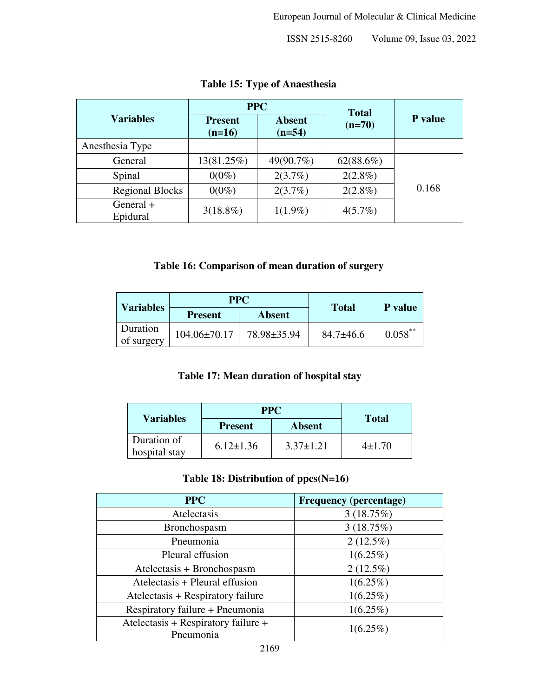|                         | <b>PPC</b>                 |                           | <b>Total</b> |         |
|-------------------------|----------------------------|---------------------------|--------------|---------|
| <b>Variables</b>        | <b>Present</b><br>$(n=16)$ | <b>Absent</b><br>$(n=54)$ | $(n=70)$     | P value |
| Anesthesia Type         |                            |                           |              |         |
| General                 | 13(81.25%)                 | 49(90.7%)                 | 62(88.6%)    |         |
| Spinal                  | $0(0\%)$                   | 2(3.7%)                   | $2(2.8\%)$   |         |
| <b>Regional Blocks</b>  | $0(0\%)$                   | 2(3.7%)                   | $2(2.8\%)$   | 0.168   |
| General $+$<br>Epidural | $3(18.8\%)$                | $1(1.9\%)$                | 4(5.7%)      |         |

## **Table 15: Type of Anaesthesia**

#### **Table 16: Comparison of mean duration of surgery**

| <b>Variables</b>       | <b>PPC</b>         |             | <b>Total</b>    | P value    |
|------------------------|--------------------|-------------|-----------------|------------|
|                        | <b>Present</b>     | Absent      |                 |            |
| Duration<br>of surgery | $104.06 \pm 70.17$ | 78.98±35.94 | $84.7 \pm 46.6$ | $0.058$ ** |

## **Table 17: Mean duration of hospital stay**

| <b>Variables</b>             | <b>PPC</b>      |                 | <b>Total</b> |
|------------------------------|-----------------|-----------------|--------------|
|                              | <b>Present</b>  | <b>Absent</b>   |              |
| Duration of<br>hospital stay | $6.12 \pm 1.36$ | $3.37 \pm 1.21$ | $4\pm1.70$   |

#### **Table 18: Distribution of ppcs(N=16)**

| <b>PPC</b>                                       | <b>Frequency (percentage)</b> |
|--------------------------------------------------|-------------------------------|
| Atelectasis                                      | 3(18.75%)                     |
| Bronchospasm                                     | 3(18.75%)                     |
| Pneumonia                                        | $2(12.5\%)$                   |
| Pleural effusion                                 | $1(6.25\%)$                   |
| Atelectasis + Bronchospasm                       | $2(12.5\%)$                   |
| Atelectasis + Pleural effusion                   | $1(6.25\%)$                   |
| Atelectasis + Respiratory failure                | $1(6.25\%)$                   |
| Respiratory failure + Pneumonia                  | $1(6.25\%)$                   |
| Atelectasis + Respiratory failure +<br>Pneumonia | $1(6.25\%)$                   |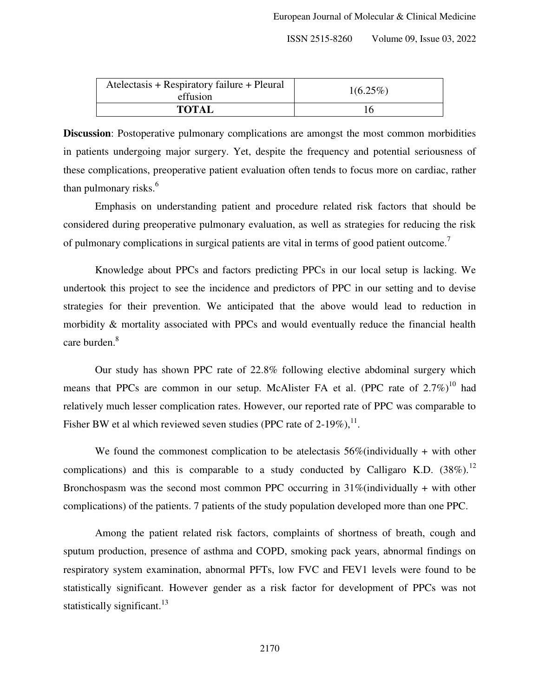| Atelectasis + Respiratory failure + Pleural<br>effusion | $1(6.25\%)$ |  |
|---------------------------------------------------------|-------------|--|
| <b>TOTAL</b>                                            |             |  |

**Discussion**: Postoperative pulmonary complications are amongst the most common morbidities in patients undergoing major surgery. Yet, despite the frequency and potential seriousness of these complications, preoperative patient evaluation often tends to focus more on cardiac, rather than pulmonary risks. $<sup>6</sup>$ </sup>

 Emphasis on understanding patient and procedure related risk factors that should be considered during preoperative pulmonary evaluation, as well as strategies for reducing the risk of pulmonary complications in surgical patients are vital in terms of good patient outcome.<sup>7</sup>

 Knowledge about PPCs and factors predicting PPCs in our local setup is lacking. We undertook this project to see the incidence and predictors of PPC in our setting and to devise strategies for their prevention. We anticipated that the above would lead to reduction in morbidity & mortality associated with PPCs and would eventually reduce the financial health care burden.<sup>8</sup>

 Our study has shown PPC rate of 22.8% following elective abdominal surgery which means that PPCs are common in our setup. McAlister FA et al. (PPC rate of  $2.7\%$ )<sup>10</sup> had relatively much lesser complication rates. However, our reported rate of PPC was comparable to Fisher BW et al which reviewed seven studies (PPC rate of 2-19%),  $^{11}$ .

We found the commonest complication to be atelectasis  $56\%$  (individually + with other complications) and this is comparable to a study conducted by Calligaro K.D.  $(38\%)$ .<sup>12</sup> Bronchospasm was the second most common PPC occurring in  $31\%$  (individually + with other complications) of the patients. 7 patients of the study population developed more than one PPC.

 Among the patient related risk factors, complaints of shortness of breath, cough and sputum production, presence of asthma and COPD, smoking pack years, abnormal findings on respiratory system examination, abnormal PFTs, low FVC and FEV1 levels were found to be statistically significant. However gender as a risk factor for development of PPCs was not statistically significant.<sup>13</sup>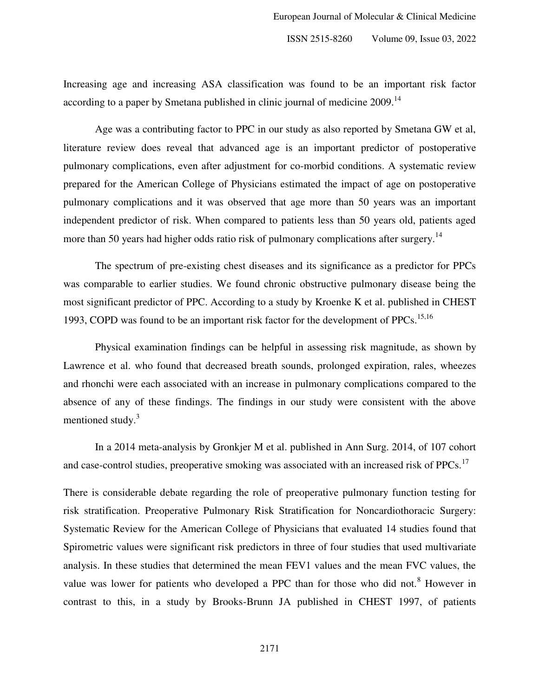Increasing age and increasing ASA classification was found to be an important risk factor according to a paper by Smetana published in clinic journal of medicine 2009.<sup>14</sup>

 Age was a contributing factor to PPC in our study as also reported by Smetana GW et al, literature review does reveal that advanced age is an important predictor of postoperative pulmonary complications, even after adjustment for co-morbid conditions. A systematic review prepared for the American College of Physicians estimated the impact of age on postoperative pulmonary complications and it was observed that age more than 50 years was an important independent predictor of risk. When compared to patients less than 50 years old, patients aged more than 50 years had higher odds ratio risk of pulmonary complications after surgery.<sup>14</sup>

 The spectrum of pre-existing chest diseases and its significance as a predictor for PPCs was comparable to earlier studies. We found chronic obstructive pulmonary disease being the most significant predictor of PPC. According to a study by Kroenke K et al. published in CHEST 1993, COPD was found to be an important risk factor for the development of PPCs.<sup>15,16</sup>

 Physical examination findings can be helpful in assessing risk magnitude, as shown by Lawrence et al. who found that decreased breath sounds, prolonged expiration, rales, wheezes and rhonchi were each associated with an increase in pulmonary complications compared to the absence of any of these findings. The findings in our study were consistent with the above mentioned study.<sup>3</sup>

 In a 2014 meta-analysis by Gronkjer M et al. published in Ann Surg. 2014, of 107 cohort and case-control studies, preoperative smoking was associated with an increased risk of PPCs.<sup>17</sup>

There is considerable debate regarding the role of preoperative pulmonary function testing for risk stratification. Preoperative Pulmonary Risk Stratification for Noncardiothoracic Surgery: Systematic Review for the American College of Physicians that evaluated 14 studies found that Spirometric values were significant risk predictors in three of four studies that used multivariate analysis. In these studies that determined the mean FEV1 values and the mean FVC values, the value was lower for patients who developed a PPC than for those who did not.<sup>8</sup> However in contrast to this, in a study by Brooks-Brunn JA published in CHEST 1997, of patients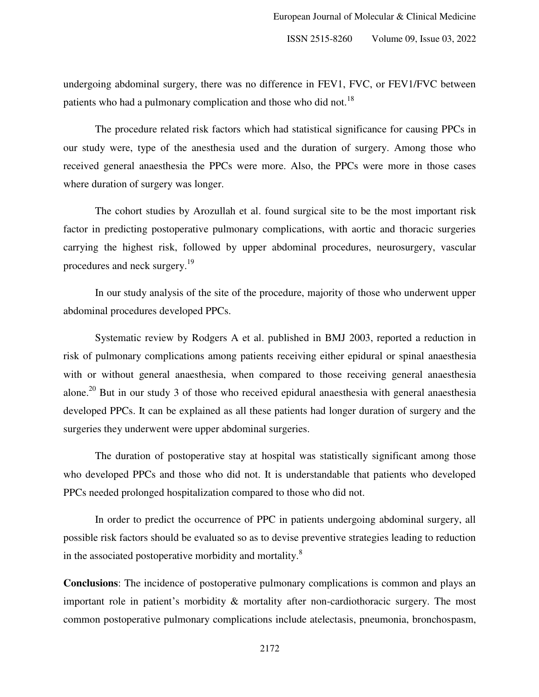undergoing abdominal surgery, there was no difference in FEV1, FVC, or FEV1/FVC between patients who had a pulmonary complication and those who did not.<sup>18</sup>

 The procedure related risk factors which had statistical significance for causing PPCs in our study were, type of the anesthesia used and the duration of surgery. Among those who received general anaesthesia the PPCs were more. Also, the PPCs were more in those cases where duration of surgery was longer.

 The cohort studies by Arozullah et al. found surgical site to be the most important risk factor in predicting postoperative pulmonary complications, with aortic and thoracic surgeries carrying the highest risk, followed by upper abdominal procedures, neurosurgery, vascular procedures and neck surgery.<sup>19</sup>

 In our study analysis of the site of the procedure, majority of those who underwent upper abdominal procedures developed PPCs.

 Systematic review by Rodgers A et al. published in BMJ 2003, reported a reduction in risk of pulmonary complications among patients receiving either epidural or spinal anaesthesia with or without general anaesthesia, when compared to those receiving general anaesthesia alone.<sup>20</sup> But in our study 3 of those who received epidural anaesthesia with general anaesthesia developed PPCs. It can be explained as all these patients had longer duration of surgery and the surgeries they underwent were upper abdominal surgeries.

 The duration of postoperative stay at hospital was statistically significant among those who developed PPCs and those who did not. It is understandable that patients who developed PPCs needed prolonged hospitalization compared to those who did not.

 In order to predict the occurrence of PPC in patients undergoing abdominal surgery, all possible risk factors should be evaluated so as to devise preventive strategies leading to reduction in the associated postoperative morbidity and mortality.<sup>8</sup>

**Conclusions**: The incidence of postoperative pulmonary complications is common and plays an important role in patient's morbidity & mortality after non-cardiothoracic surgery. The most common postoperative pulmonary complications include atelectasis, pneumonia, bronchospasm,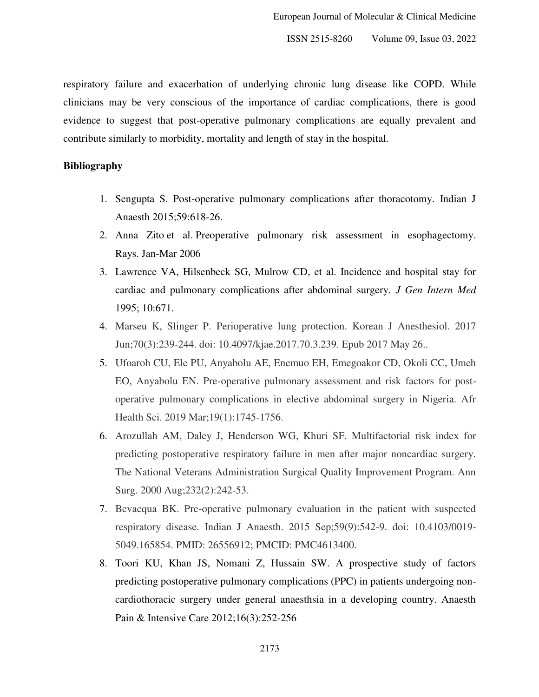respiratory failure and exacerbation of underlying chronic lung disease like COPD. While clinicians may be very conscious of the importance of cardiac complications, there is good evidence to suggest that post-operative pulmonary complications are equally prevalent and contribute similarly to morbidity, mortality and length of stay in the hospital.

#### **Bibliography**

- 1. Sengupta S. Post-operative pulmonary complications after thoracotomy. Indian J Anaesth 2015;59:618-26.
- 2. Anna Zito et al. Preoperative pulmonary risk assessment in esophagectomy. Rays. Jan-Mar 2006
- 3. Lawrence VA, Hilsenbeck SG, Mulrow CD, et al. Incidence and hospital stay for cardiac and pulmonary complications after abdominal surgery. *J Gen Intern Med* 1995; 10:671.
- 4. Marseu K, Slinger P. Perioperative lung protection. Korean J Anesthesiol. 2017 Jun;70(3):239-244. doi: 10.4097/kjae.2017.70.3.239. Epub 2017 May 26..
- 5. Ufoaroh CU, Ele PU, Anyabolu AE, Enemuo EH, Emegoakor CD, Okoli CC, Umeh EO, Anyabolu EN. Pre-operative pulmonary assessment and risk factors for postoperative pulmonary complications in elective abdominal surgery in Nigeria. Afr Health Sci. 2019 Mar;19(1):1745-1756.
- 6. Arozullah AM, Daley J, Henderson WG, Khuri SF. Multifactorial risk index for predicting postoperative respiratory failure in men after major noncardiac surgery. The National Veterans Administration Surgical Quality Improvement Program. Ann Surg. 2000 Aug;232(2):242-53.
- 7. Bevacqua BK. Pre-operative pulmonary evaluation in the patient with suspected respiratory disease. Indian J Anaesth. 2015 Sep;59(9):542-9. doi: 10.4103/0019- 5049.165854. PMID: 26556912; PMCID: PMC4613400.
- 8. Toori KU, Khan JS, Nomani Z, Hussain SW. A prospective study of factors predicting postoperative pulmonary complications (PPC) in patients undergoing noncardiothoracic surgery under general anaesthsia in a developing country. Anaesth Pain & Intensive Care 2012;16(3):252-256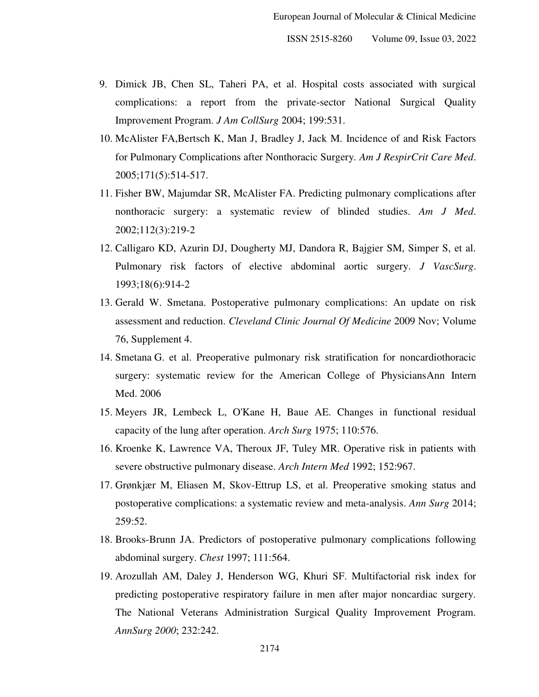- 9. Dimick JB, Chen SL, Taheri PA, et al. Hospital costs associated with surgical complications: a report from the private-sector National Surgical Quality Improvement Program. *J Am CollSurg* 2004; 199:531.
- 10. McAlister FA,Bertsch K, Man J, Bradley J, Jack M. Incidence of and Risk Factors for Pulmonary Complications after Nonthoracic Surgery*. Am J RespirCrit Care Med*. 2005;171(5):514-517.
- 11. Fisher BW, Majumdar SR, McAlister FA. Predicting pulmonary complications after nonthoracic surgery: a systematic review of blinded studies. *Am J Med*. 2002;112(3):219-2
- 12. Calligaro KD, Azurin DJ, Dougherty MJ, Dandora R, Bajgier SM, Simper S, et al. Pulmonary risk factors of elective abdominal aortic surgery. *J VascSurg*. 1993;18(6):914-2
- 13. Gerald W. Smetana. Postoperative pulmonary complications: An update on risk assessment and reduction. *Cleveland Clinic Journal Of Medicine* 2009 Nov; Volume 76, Supplement 4.
- 14. Smetana G. et al. Preoperative pulmonary risk stratification for noncardiothoracic surgery: systematic review for the American College of PhysiciansAnn Intern Med. 2006
- 15. Meyers JR, Lembeck L, O'Kane H, Baue AE. Changes in functional residual capacity of the lung after operation. *Arch Surg* 1975; 110:576.
- 16. Kroenke K, Lawrence VA, Theroux JF, Tuley MR. Operative risk in patients with severe obstructive pulmonary disease. *Arch Intern Med* 1992; 152:967.
- 17. Grønkjær M, Eliasen M, Skov-Ettrup LS, et al. Preoperative smoking status and postoperative complications: a systematic review and meta-analysis. *Ann Surg* 2014; 259:52.
- 18. Brooks-Brunn JA. Predictors of postoperative pulmonary complications following abdominal surgery. *Chest* 1997; 111:564.
- 19. Arozullah AM, Daley J, Henderson WG, Khuri SF. Multifactorial risk index for predicting postoperative respiratory failure in men after major noncardiac surgery. The National Veterans Administration Surgical Quality Improvement Program. *AnnSurg 2000*; 232:242.